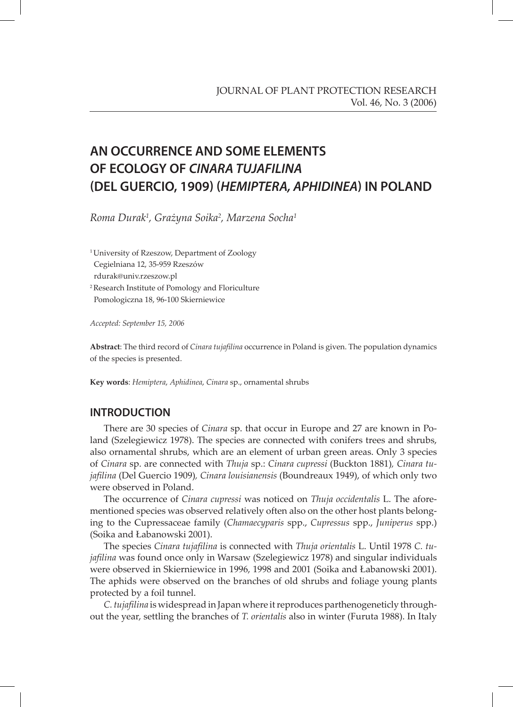# **AN OCCURRENCE AND SOME ELEMENTS OF ECOLOGY OF CINARA TUJAFILINA (DEL GUERCIO, 1909) (HEMIPTERA, APHIDINEA) IN POLAND**

*Roma Durak1 , Grażyna Soika2 , Marzena Socha1*

<sup>1</sup> University of Rzeszow, Department of Zoology Cegielniana 12, 35-959 Rzeszów rdurak@univ.rzeszow.pl 2 Research Institute of Pomology and Floriculture Pomologiczna 18, 96-100 Skierniewice

*Accepted: September 15, 2006*

**Abstract**: The third record of *Cinara tujafilina* occurrence in Poland is given. The population dynamics of the species is presented.

**Key words**: *Hemiptera*, *Aphidinea*, *Cinara* sp., ornamental shrubs

#### **INTRODUCTION**

There are 30 species of *Cinara* sp. that occur in Europe and 27 are known in Poland (Szelegiewicz 1978). The species are connected with conifers trees and shrubs, also ornamental shrubs, which are an element of urban green areas. Only 3 species of *Cinara* sp. are connected with *Thuja* sp.: *Cinara cupressi* (Buckton 1881)*, Cinara tujafilina* (Del Guercio 1909)*, Cinara louisianensis* (Boundreaux 1949), of which only two were observed in Poland.

The occurrence of *Cinara cupressi* was noticed on *Thuja occidentalis* L. The aforementioned species was observed relatively often also on the other host plants belonging to the Cupressaceae family (*Chamaecyparis* spp., *Cupressus* spp., *Juniperus* spp.) (Soika and Łabanowski 2001).

The species *Cinara tujafilina* is connected with *Thuja orientalis* L. Until 1978 *C. tujafilina* was found once only in Warsaw (Szelegiewicz 1978) and singular individuals were observed in Skierniewice in 1996, 1998 and 2001 (Soika and Łabanowski 2001). The aphids were observed on the branches of old shrubs and foliage young plants protected by a foil tunnel.

*C.tujafilina* is widespread in Japan where it reproduces parthenogeneticly throughout the year, settling the branches of *T. orientalis* also in winter (Furuta 1988). In Italy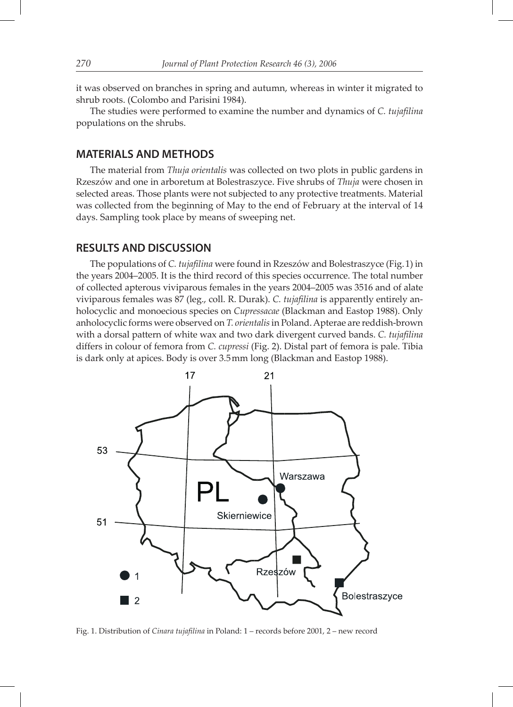it was observed on branches in spring and autumn, whereas in winter it migrated to shrub roots. (Colombo and Parisini 1984).

The studies were performed to examine the number and dynamics of *C. tujafilina* populations on the shrubs.

#### **MATERIALS AND METHODS**

The material from *Thuja orientalis* was collected on two plots in public gardens in Rzeszów and one in arboretum at Bolestraszyce. Five shrubs of *Thuja* were chosen in selected areas. Those plants were not subjected to any protective treatments. Material was collected from the beginning of May to the end of February at the interval of 14 days. Sampling took place by means of sweeping net.

#### **RESULTS AND DISCUSSION**

The populations of *C. tujafilina* were found in Rzeszów and Bolestraszyce (Fig. 1) in the years 2004–2005. It is the third record of this species occurrence. The total number of collected apterous viviparous females in the years 2004–2005 was 3516 and of alate viviparous females was 87 (leg., coll. R. Durak). *C. tujafilina* is apparently entirely anholocyclic and monoecious species on *Cupressacae* (Blackman and Eastop 1988). Only anholocyclic forms were observed on *T. orientalis* in Poland. Apterae are reddish-brown with a dorsal pattern of white wax and two dark divergent curved bands. *C. tujafilina* differs in colour of femora from *C. cupressi* (Fig. 2). Distal part of femora is pale. Tibia is dark only at apices. Body is over 3.5 mm long (Blackman and Eastop 1988).



Fig. 1. Distribution of *Cinara tujafilina* in Poland: 1 – records before 2001, 2 – new record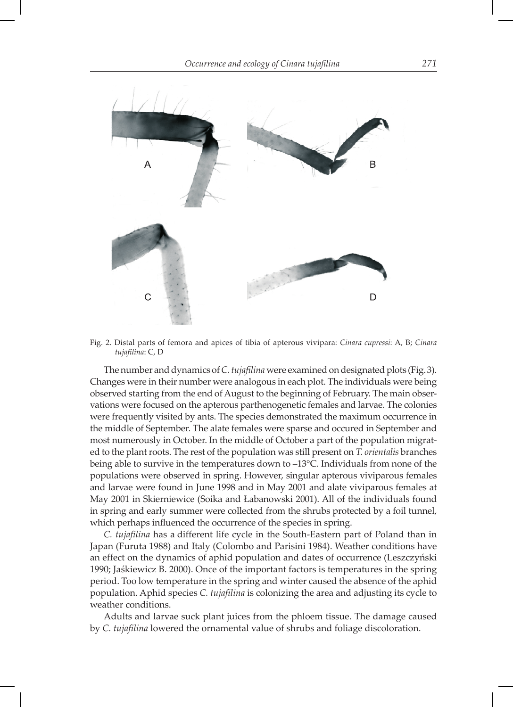

Fig. 2. Distal parts of femora and apices of tibia of apterous vivipara: *Cinara cupressi*: A, B; *Cinara tujafilina*: C, D

The number and dynamics of *C. tujafilina* were examined on designated plots (Fig. 3). Changes were in their number were analogous in each plot. The individuals were being observed starting from the end of August to the beginning of February. The main observations were focused on the apterous parthenogenetic females and larvae. The colonies were frequently visited by ants. The species demonstrated the maximum occurrence in the middle of September. The alate females were sparse and occured in September and most numerously in October. In the middle of October a part of the population migrated to the plant roots. The rest of the population was still present on *T. orientalis* branches being able to survive in the temperatures down to –13°C. Individuals from none of the populations were observed in spring. However, singular apterous viviparous females and larvae were found in June 1998 and in May 2001 and alate viviparous females at May 2001 in Skierniewice (Soika and Łabanowski 2001). All of the individuals found in spring and early summer were collected from the shrubs protected by a foil tunnel, which perhaps influenced the occurrence of the species in spring.

*C. tujafilina* has a different life cycle in the South-Eastern part of Poland than in Japan (Furuta 1988) and Italy (Colombo and Parisini 1984). Weather conditions have an effect on the dynamics of aphid population and dates of occurrence (Leszczyński 1990; Jaśkiewicz B. 2000). Once of the important factors is temperatures in the spring period. Too low temperature in the spring and winter caused the absence of the aphid population. Aphid species *C. tujafilina* is colonizing the area and adjusting its cycle to weather conditions.

Adults and larvae suck plant juices from the phloem tissue. The damage caused by *C. tujafilina* lowered the ornamental value of shrubs and foliage discoloration.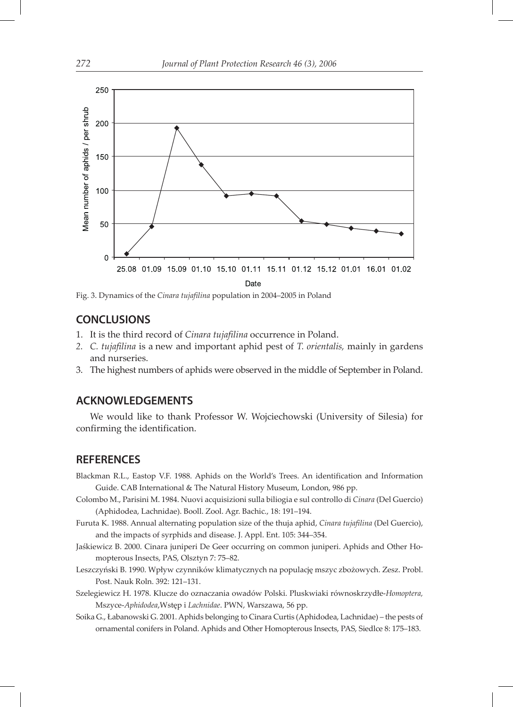

Fig. 3. Dynamics of the *Cinara tujafilina* population in 2004–2005 in Poland

### **CONCLUSIONS**

- 1. It is the third record of *Cinara tujafilina* occurrence in Poland.
- *2. C. tujafilina* is a new and important aphid pest of *T. orientalis,* mainly in gardens and nurseries.
- 3. The highest numbers of aphids were observed in the middle of September in Poland.

#### **ACKNOWLEDGEMENTS**

We would like to thank Professor W. Wojciechowski (University of Silesia) for confirming the identification.

## **REFERENCES**

- Blackman R.L., Eastop V.F. 1988. Aphids on the World's Trees. An identification and Information Guide. CAB International & The Natural History Museum, London, 986 pp.
- Colombo M., Parisini M. 1984. Nuovi acquisizioni sulla biliogia e sul controllo di *Cinara* (Del Guercio) (Aphidodea, Lachnidae). Booll. Zool. Agr. Bachic., 18: 191–194.
- Furuta K. 1988. Annual alternating population size of the thuja aphid, *Cinara tujafilina* (Del Guercio), and the impacts of syrphids and disease. J. Appl. Ent. 105: 344–354.
- Jaśkiewicz B. 2000. Cinara juniperi De Geer occurring on common juniperi. Aphids and Other Homopterous Insects, PAS, Olsztyn 7: 75–82.
- Leszczyński B. 1990. Wpływ czynników klimatycznych na populację mszyc zbożowych. Zesz. Probl. Post. Nauk Roln. 392: 121–131.
- Szelegiewicz H. 1978. Klucze do oznaczania owadów Polski. Pluskwiaki równoskrzydłe-*Homoptera,* Mszyce-*Aphidodea*,Wstęp i *Lachnidae*. PWN, Warszawa, 56 pp.
- Soika G., Łabanowski G. 2001. Aphids belonging to Cinara Curtis (Aphidodea, Lachnidae) the pests of ornamental conifers in Poland. Aphids and Other Homopterous Insects, PAS, Siedlce 8: 175–183.

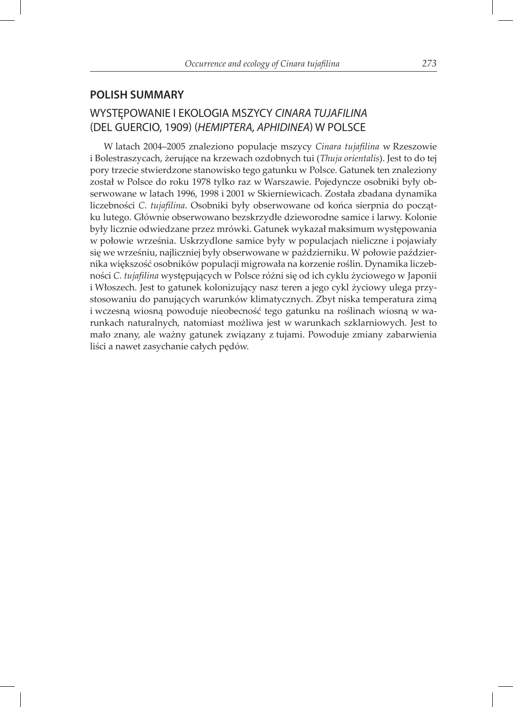### **POLISH SUMMARY**

## WYSTĘPOWANIE I EKOLOGIA MSZYCY CINARA TUJAFILINA (DEL GUERCIO, 1909) (HEMIPTERA, APHIDINEA) W POLSCE

W latach 2004–2005 znaleziono populacje mszycy *Cinara tujafilina* w Rzeszowie i Bolestraszycach, żerujące na krzewach ozdobnych tui (*Thuja orientalis*). Jest to do tej pory trzecie stwierdzone stanowisko tego gatunku w Polsce. Gatunek ten znaleziony został w Polsce do roku 1978 tylko raz w Warszawie. Pojedyncze osobniki były obserwowane w latach 1996, 1998 i 2001 w Skierniewicach. Została zbadana dynamika liczebności *C. tujafilina*. Osobniki były obserwowane od końca sierpnia do początku lutego. Głównie obserwowano bezskrzydłe dzieworodne samice i larwy. Kolonie były licznie odwiedzane przez mrówki. Gatunek wykazał maksimum występowania w połowie września. Uskrzydlone samice były w populacjach nieliczne i pojawiały się we wrześniu, najliczniej były obserwowane w październiku. W połowie października większość osobników populacji migrowała na korzenie roślin. Dynamika liczebności *C. tujafilina* występujących w Polsce różni się od ich cyklu życiowego w Japonii i Włoszech. Jest to gatunek kolonizujący nasz teren a jego cykl życiowy ulega przystosowaniu do panujących warunków klimatycznych. Zbyt niska temperatura zimą i wczesną wiosną powoduje nieobecność tego gatunku na roślinach wiosną w warunkach naturalnych, natomiast możliwa jest w warunkach szklarniowych. Jest to mało znany, ale ważny gatunek związany z tujami. Powoduje zmiany zabarwienia liści a nawet zasychanie całych pędów.